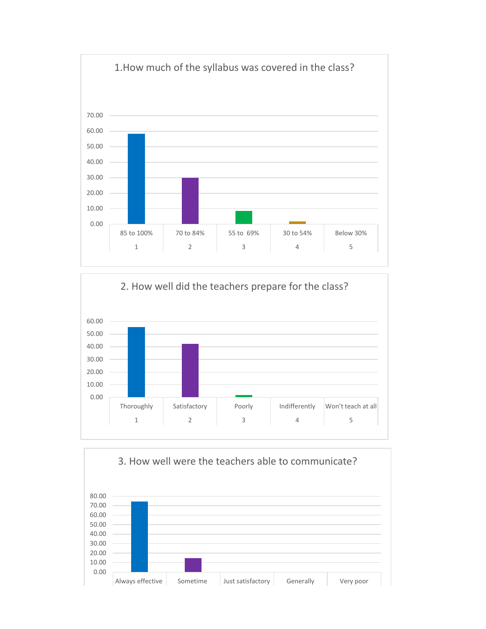



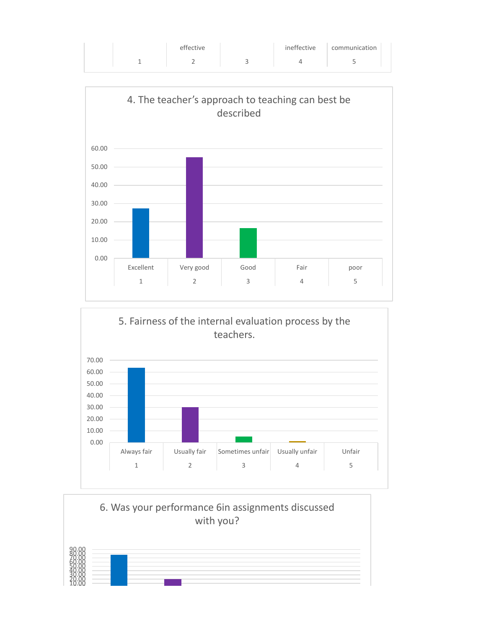|  | effective | ineffective | communication |  |
|--|-----------|-------------|---------------|--|
|  |           |             |               |  |
|  |           |             |               |  |





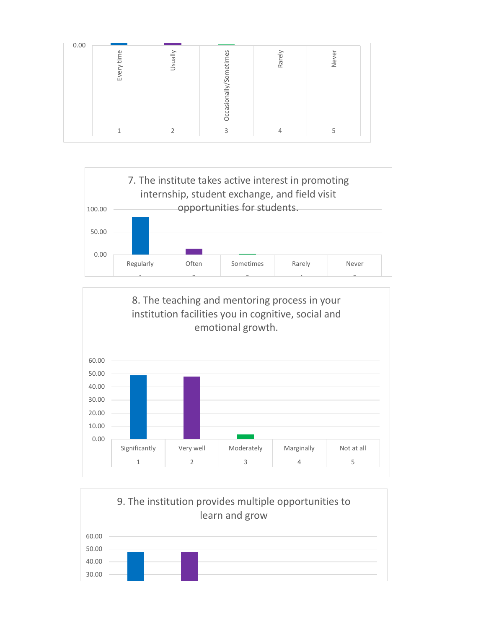





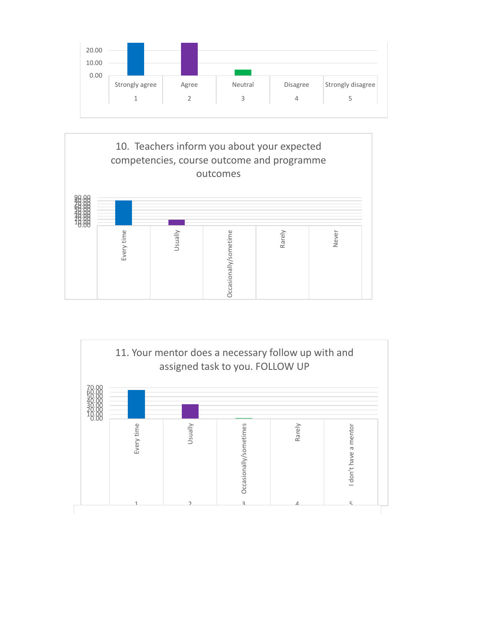



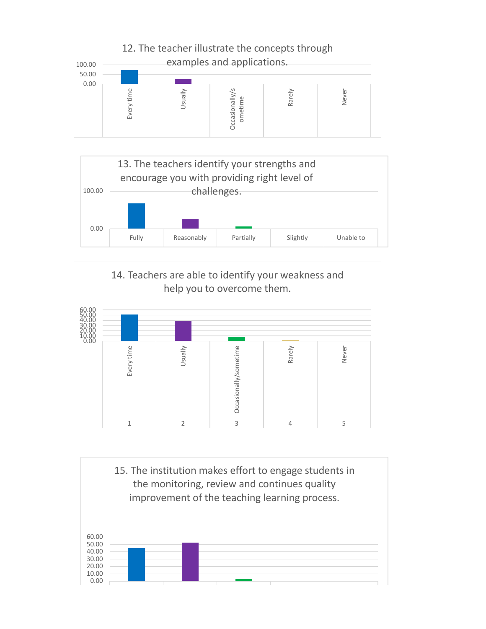





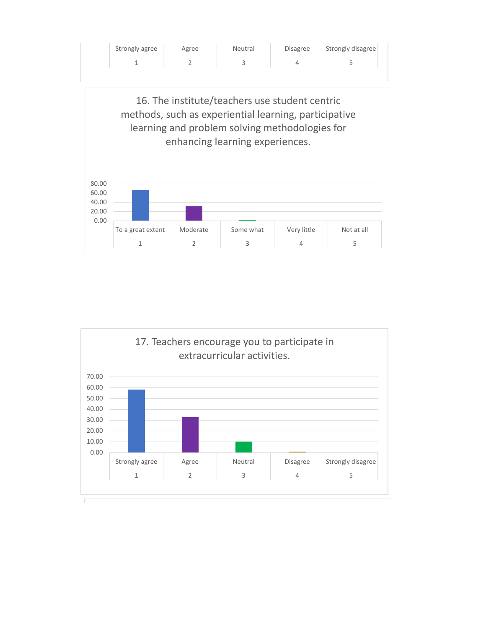